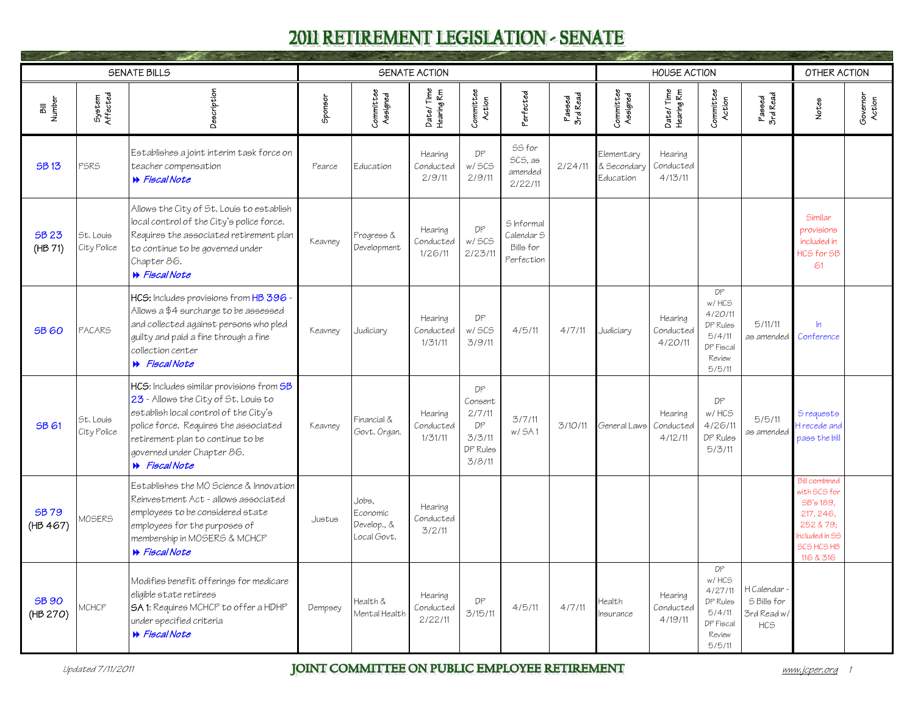<span id="page-0-0"></span>

|                          |                          | <b>SENATE BILLS</b>                                                                                                                                                                                                                                           |         |                                                 | <b>SENATE ACTION</b>            |                                                               |                                                     |                    |                                        | <b>HOUSE ACTION</b>             |                                                                               |                                                        | OTHER ACTION                                                                                                            |                    |
|--------------------------|--------------------------|---------------------------------------------------------------------------------------------------------------------------------------------------------------------------------------------------------------------------------------------------------------|---------|-------------------------------------------------|---------------------------------|---------------------------------------------------------------|-----------------------------------------------------|--------------------|----------------------------------------|---------------------------------|-------------------------------------------------------------------------------|--------------------------------------------------------|-------------------------------------------------------------------------------------------------------------------------|--------------------|
| Bill<br>Number           | System<br>Affected       | Description                                                                                                                                                                                                                                                   | Sponsor | Committee<br>Assigned                           | Date/Time<br>Hearing Rm         | Committee<br>Action                                           | <sup>2</sup> erfected                               | Passed<br>3rd Read | Committee<br>Assigned                  | Date/Time<br>Hearing Rm         | Committee<br>Action                                                           | Passed<br>3rd Read                                     | Notes                                                                                                                   | Governor<br>Action |
| <b>SB13</b>              | PSRS                     | Establishes a joint interim task force on<br>teacher compensation<br>N Fiscal Note                                                                                                                                                                            | Pearce  | Education                                       | Hearing<br>Conducted<br>2/9/11  | DP<br>w/ SCS<br>2/9/11                                        | SS for<br>SCS. as<br>amended<br>2/22/11             | 2/24/11            | Elementary<br>& Secondary<br>Education | Hearing<br>Conducted<br>4/13/11 |                                                                               |                                                        |                                                                                                                         |                    |
| <b>SB 23</b><br>(HB 71)  | St. Louis<br>City Police | Allows the City of St. Louis to establish<br>local control of the City's police force.<br>Requires the associated retirement plan<br>to continue to be governed under<br>Chapter 86.<br><b>W</b> Fiscal Note                                                  | Keavney | Progress &<br>Development                       | Hearing<br>Conducted<br>1/26/11 | DP<br>w/ SCS<br>2/23/11                                       | S Informal<br>Calendar S<br>Bills for<br>Perfection |                    |                                        |                                 |                                                                               |                                                        | Similar<br>provisions<br>included in<br>HCS for SB<br>61                                                                |                    |
| <b>SB 60</b>             | <b>PACARS</b>            | HCS: Includes provisions from HB 396 -<br>Allows a \$4 surcharge to be assessed<br>and collected against persons who pled<br>guilty and paid a fine through a fine<br>collection center<br><b>W</b> Fiscal Note                                               | Keavney | Judiciary                                       | Hearing<br>Conducted<br>1/31/11 | DP<br>w/ SCS<br>3/9/11                                        | 4/5/11                                              | 4/7/11             | Judiciary                              | Hearing<br>Conducted<br>4/20/11 | DP<br>w/HCS<br>4/20/11<br>DP Rules<br>5/4/11<br>DP Fiscal<br>Review<br>5/5/11 | 5/11/11<br>as amended                                  | $\ln$<br>Conference                                                                                                     |                    |
| <b>SB61</b>              | St. Louis<br>City Police | HCS: Includes similar provisions from SB<br>23 - Allows the City of St. Louis to<br>establish local control of the City's<br>police force. Requires the associated<br>retirement plan to continue to be<br>governed under Chapter 86.<br><b>W</b> Fiscal Note | Keavney | Financial &<br>Govt. Organ.                     | Hearing<br>Conducted<br>1/31/11 | DP<br>Consent<br>2/7/11<br>DP<br>3/3/11<br>DP Rules<br>3/8/11 | 3/7/11<br>w/ SA1                                    | 3/10/11            | General Laws                           | Hearing<br>Conducted<br>4/12/11 | DP<br>w/HCS<br>4/26/11<br>DP Rules<br>5/3/11                                  | 5/5/11<br>as amended                                   | S requests<br>trecede and<br>pass the bill                                                                              |                    |
| <b>SB79</b><br>(HB 467)  | MOSERS                   | Establishes the MO Science & Innovation<br>Reinvestment Act - allows associated<br>employees to be considered state<br>employees for the purposes of<br>membership in MOSERS & MCHCP<br><b>W</b> Fiscal Note                                                  | Justus  | Jobs.<br>Economic<br>Develop., &<br>Local Govt. | Hearing<br>Conducted<br>3/2/11  |                                                               |                                                     |                    |                                        |                                 |                                                                               |                                                        | <b>Bill</b> combined<br>with SCS for<br>SB's 189.<br>217, 246.<br>252 & 79;<br>ncluded in SS<br>SCS HCS HB<br>116 & 316 |                    |
| <b>SB 90</b><br>(HB 270) | MCHCP                    | Modifies benefit offerings for medicare<br>eligible state retirees<br><b>SA 1:</b> Requires MCHCP to offer a HDHP<br>under specified criteria<br><b>W</b> Fiscal Note                                                                                         | Dempsey | Health &<br>Mental Health                       | Hearing<br>Conducted<br>2/22/11 | DP<br>3/15/11                                                 | 4/5/11                                              | 4/7/11             | <i><b>Health</b></i><br>nsurance       | Hearing<br>Conducted<br>4/19/11 | DP<br>w/HCS<br>4/27/11<br>DP Rules<br>5/4/11<br>DP Fiscal<br>Review<br>5/5/11 | H Calendar<br>S Bills for<br>3rd Read w/<br><b>HCS</b> |                                                                                                                         |                    |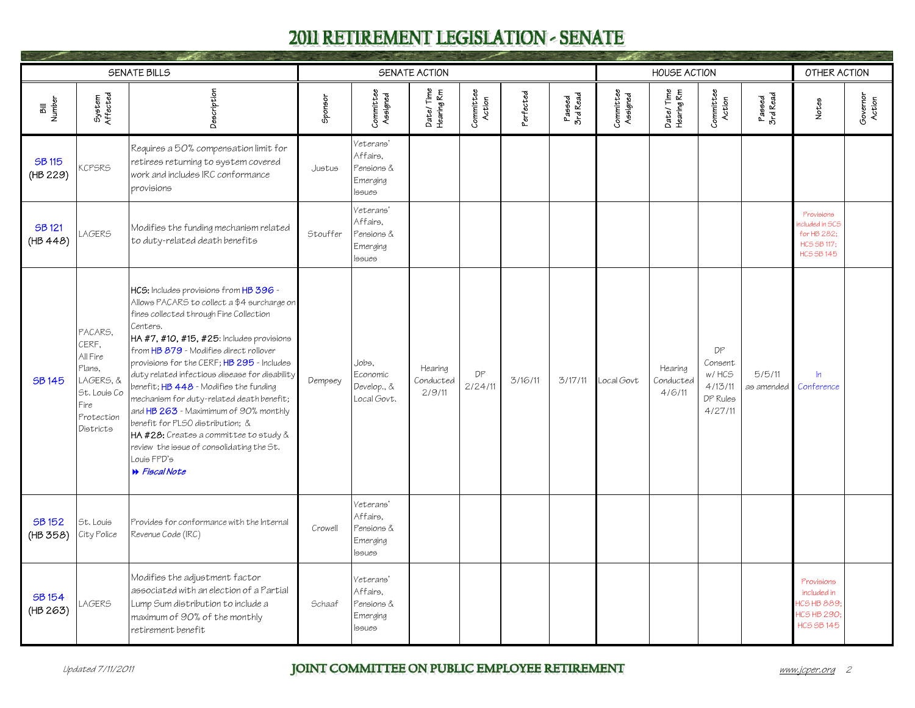<span id="page-1-0"></span>

|                           |                                                                                                        | <b>SENATE BILLS</b>                                                                                                                                                                                                                                                                                                                                                                                                                                                                                                                                                                                                                   |               |                                                                  | SENATE ACTION                  |                     |           |                    |                       | <b>HOUSE ACTION</b>            |                                                          |                      | OTHER ACTION                                                                           |                    |
|---------------------------|--------------------------------------------------------------------------------------------------------|---------------------------------------------------------------------------------------------------------------------------------------------------------------------------------------------------------------------------------------------------------------------------------------------------------------------------------------------------------------------------------------------------------------------------------------------------------------------------------------------------------------------------------------------------------------------------------------------------------------------------------------|---------------|------------------------------------------------------------------|--------------------------------|---------------------|-----------|--------------------|-----------------------|--------------------------------|----------------------------------------------------------|----------------------|----------------------------------------------------------------------------------------|--------------------|
| Bill<br>Number            | System<br>Affected                                                                                     | Description                                                                                                                                                                                                                                                                                                                                                                                                                                                                                                                                                                                                                           | Sponsor       | Committee<br>Assigned                                            | Date/Time<br>Hearing Rm        | Committee<br>Action | Perfected | Passed<br>3rd Read | Committee<br>Assigned | Date/Time<br>Hearing Rm        | Committee<br>Action                                      | Passed<br>3rd Read   | Notes                                                                                  | Governor<br>Action |
| <b>SB 115</b><br>(HB 229) | <b>CPSRS</b>                                                                                           | Requires a 50% compensation limit for<br>retirees returning to system covered<br>work and includes IRC conformance<br>provisions                                                                                                                                                                                                                                                                                                                                                                                                                                                                                                      | Justus        | Veterans'<br>Affairs.<br>Pensions &<br>Emerging<br><b>Issues</b> |                                |                     |           |                    |                       |                                |                                                          |                      |                                                                                        |                    |
| <b>SB121</b><br>(HB 448)  | <b>AGERS</b>                                                                                           | Modifies the funding mechanism related<br>to duty-related death benefits                                                                                                                                                                                                                                                                                                                                                                                                                                                                                                                                                              | Stouffer      | Veterans'<br>Affairs.<br>Pensions &<br>Emerging<br><b>Issues</b> |                                |                     |           |                    |                       |                                |                                                          |                      | Provisions<br>icluded in SCS<br>for HB 282;<br><b>HCS SB 117:</b><br><b>HCS SB 145</b> |                    |
| <b>SB145</b>              | PACARS.<br>CERF,<br>All Fire<br>Plans.<br>LAGERS, &<br>St. Louis Co<br>Fire<br>Protection<br>Districts | HCS: Includes provisions from HB 396 -<br>Allows PACARS to collect a \$4 surcharge on<br>fines collected through Fine Collection<br>Centers.<br>HA #7, #10, #15, #25: Includes provisions<br>from HB 879 - Modifies direct rollover<br>provisions for the CERF; HB 295 - Includes<br>duty related infectious disease for disability<br>benefit; HB 448 - Modifies the funding<br>mechanism for duty-related death benefit;<br>and HB 263 - Maximimum of 90% monthly<br>benefit for PLSO distribution; &<br>HA #28: Creates a committee to study &<br>review the issue of consolidating the St.<br>Louis FPD's<br><b>W</b> Fiscal Note | Dempsey       | Jobs.<br>Economic<br>Develop., &<br>Local Govt.                  | Hearing<br>Conducted<br>2/9/11 | DP<br>2/24/11       | 3/16/11   | 3/17/11            | Local Govt            | Hearing<br>Conducted<br>4/6/11 | DP<br>Consent<br>w/HCS<br>4/13/11<br>DP Rules<br>4/27/11 | 5/5/11<br>as amended | $\ln$<br>Conference                                                                    |                    |
| SB 152<br>(HB 358)        | St. Louis<br>City Police                                                                               | Provides for conformance with the Internal<br>Revenue Code (IRC)                                                                                                                                                                                                                                                                                                                                                                                                                                                                                                                                                                      | Crowell       | Veterans'<br>Affairs.<br>Pensions &<br>Emerging<br><b>Issues</b> |                                |                     |           |                    |                       |                                |                                                          |                      |                                                                                        |                    |
| <b>SB154</b><br>(HB 263)  | AGERS                                                                                                  | Modifies the adjustment factor<br>associated with an election of a Partial<br>Lump Sum distribution to include a<br>maximum of 90% of the monthly<br>retirement benefit                                                                                                                                                                                                                                                                                                                                                                                                                                                               | <b>Schaaf</b> | Veterans'<br>Affairs.<br>Pensions &<br>Emerging<br><b>Issues</b> |                                |                     |           |                    |                       |                                |                                                          |                      | Provisions<br>included in<br><b>CSHB 889</b><br>ICS HB 290<br><b>HCS SB 145</b>        |                    |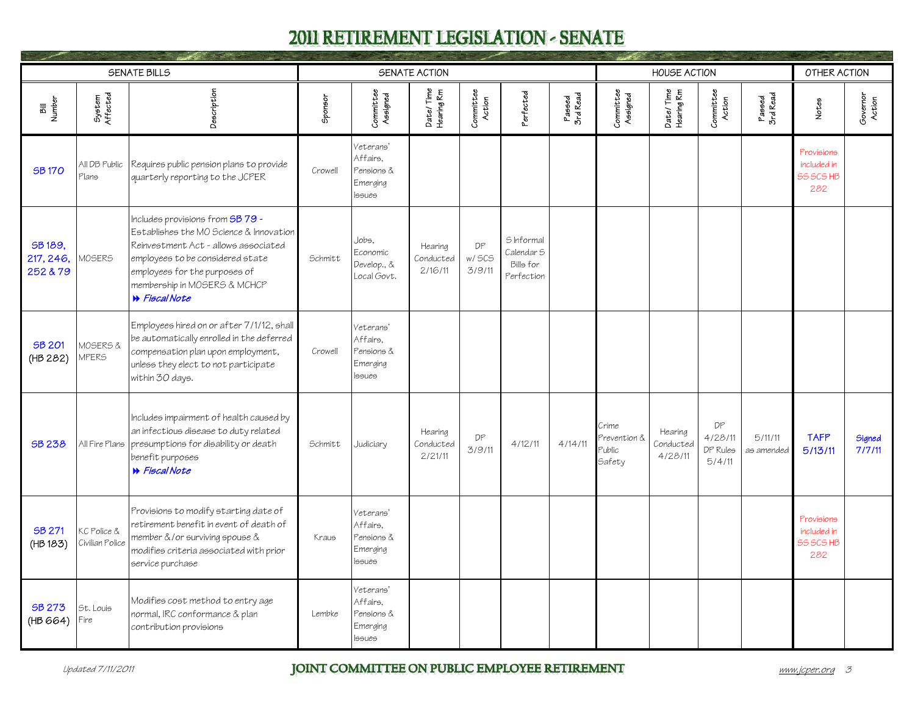<span id="page-2-0"></span>

|                                  |                                | <b>SENATE BILLS</b>                                                                                                                                                                                                                       |         |                                                                  | SENATE ACTION                   |                        |                                                     |                    |                                           | <b>HOUSE ACTION</b>             |                                     |                       | OTHER ACTION                                  |                    |
|----------------------------------|--------------------------------|-------------------------------------------------------------------------------------------------------------------------------------------------------------------------------------------------------------------------------------------|---------|------------------------------------------------------------------|---------------------------------|------------------------|-----------------------------------------------------|--------------------|-------------------------------------------|---------------------------------|-------------------------------------|-----------------------|-----------------------------------------------|--------------------|
| Bill<br>Number                   | System<br>Affected             | Description                                                                                                                                                                                                                               | Sponsor | Committee<br>Assigned                                            | Date/Time<br>Hearing Rm         | Committee<br>Action    | Perfected                                           | Passed<br>3rd Read | Committee<br>Assigned                     | Date/Time<br>Hearing Rm         | Committee<br>Action                 | Passed<br>3rd Read    | Notes                                         | Governor<br>Action |
| <b>SB170</b>                     | All DB Public<br>Plans         | Requires public pension plans to provide<br>quarterly reporting to the JCPER                                                                                                                                                              | Crowell | Veterans'<br>Affairs.<br>Pensions &<br>Emerging<br><b>Issues</b> |                                 |                        |                                                     |                    |                                           |                                 |                                     |                       | Provisions<br>included in<br>55 SCS HB<br>282 |                    |
| SB 189,<br>217, 246,<br>252 & 79 | MOSERS                         | Includes provisions from SB 79 -<br>Establishes the MO Science & Innovation<br>Reinvestment Act - allows associated<br>employees to be considered state<br>employees for the purposes of<br>membership in MOSERS & MCHCP<br>N Fiscal Note | Schmitt | Jobs.<br>Economic<br>Develop., &<br>Local Govt.                  | Hearing<br>Conducted<br>2/16/11 | DP<br>w/ SCS<br>3/9/11 | S Informal<br>Calendar S<br>Bills for<br>Perfection |                    |                                           |                                 |                                     |                       |                                               |                    |
| SB 201<br>(HB 282)               | MOSERS &<br><b>JPERS</b>       | Employees hired on or after 7/1/12, shall<br>be automatically enrolled in the deferred<br>compensation plan upon employment,<br>unless they elect to not participate<br>within 30 days.                                                   | Crowell | Veterans'<br>Affairs.<br>Pensions &<br>Emerging<br><b>Issues</b> |                                 |                        |                                                     |                    |                                           |                                 |                                     |                       |                                               |                    |
| SB 238                           | All Fire Plans                 | Includes impairment of health caused by<br>an infectious disease to duty related<br>presumptions for disability or death<br>benefit purposes<br><b>W</b> Fiscal Note                                                                      | Schmitt | Judiciary                                                        | Hearing<br>Conducted<br>2/21/11 | DP<br>3/9/11           | 4/12/11                                             | 4/14/11            | Crime<br>Prevention &<br>Public<br>Safety | Hearing<br>Conducted<br>4/28/11 | DP<br>4/28/11<br>DP Rules<br>5/4/11 | 5/11/11<br>as amended | <b>TAFP</b><br>5/13/11                        | Signed<br>7/7/11   |
| SB 271<br>(HB 183)               | KC Police &<br>Civilian Police | Provisions to modify starting date of<br>retirement benefit in event of death of<br>member &/or surviving spouse &<br>modifies criteria associated with prior<br>service purchase                                                         | Kraus   | Veterans'<br>Affairs.<br>Pensions &<br>Emerging<br>lssues        |                                 |                        |                                                     |                    |                                           |                                 |                                     |                       | Provisions<br>included in<br>55 SCS HB<br>282 |                    |
| SB 273<br>(HB 664)               | St. Louis<br>Fire              | Modifies cost method to entry age<br>normal, IRC conformance & plan<br>contribution provisions                                                                                                                                            | Lembke  | Veterans'<br>Affairs.<br>Pensions &<br>Emerging<br><b>S</b> sues |                                 |                        |                                                     |                    |                                           |                                 |                                     |                       |                                               |                    |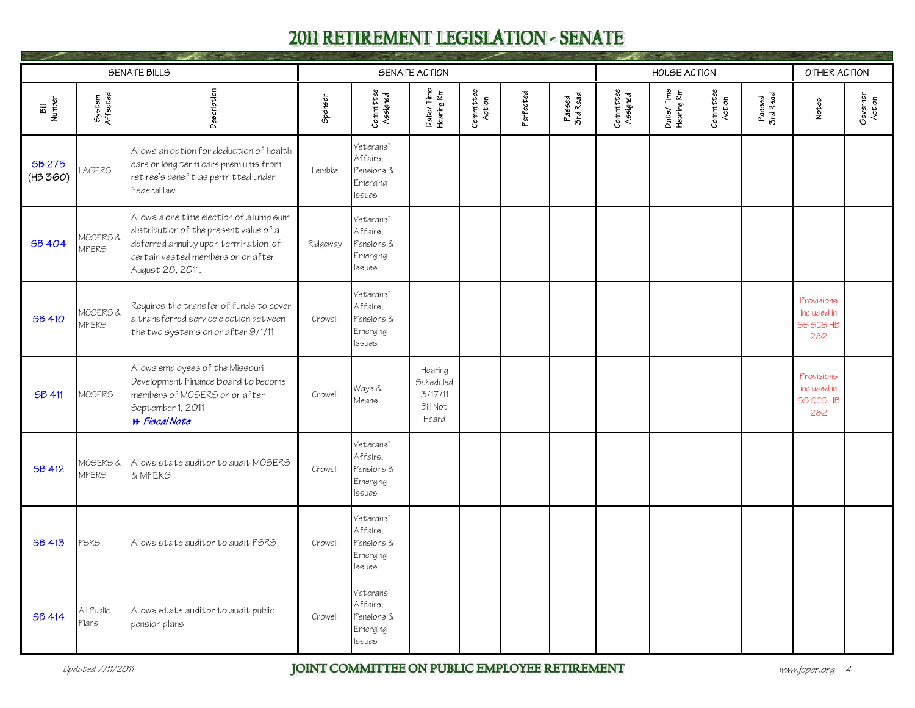<span id="page-3-0"></span>

|                           |                          | <b>SENATE BILLS</b>                                                                                                                                                                  |          |                                                                  | SENATE ACTION                                                      |                     |           |                    |                       | <b>HOUSE ACTION</b>     |                     |                    | OTHER ACTION                                         |                    |
|---------------------------|--------------------------|--------------------------------------------------------------------------------------------------------------------------------------------------------------------------------------|----------|------------------------------------------------------------------|--------------------------------------------------------------------|---------------------|-----------|--------------------|-----------------------|-------------------------|---------------------|--------------------|------------------------------------------------------|--------------------|
| Bill<br>Number            | System<br>Affected       | Description                                                                                                                                                                          | Sponsor  | Committee<br>Assigned                                            | Date/Time<br>Hearing Rm                                            | Committee<br>Action | Perfected | Passed<br>3rd Read | Committee<br>Assigned | Date/Time<br>Hearing Rm | Committee<br>Action | Passed<br>3rd Read | Notes                                                | Governor<br>Action |
| <b>SB 275</b><br>(HB 360) | <b>LAGERS</b>            | Allows an option for deduction of health<br>care or long term care premiums from<br>retiree's benefit as permitted under<br>Federal law                                              | Lembke   | Veterans'<br>Affairs.<br>Pensions &<br>Emerging<br><b>Issues</b> |                                                                    |                     |           |                    |                       |                         |                     |                    |                                                      |                    |
| <b>SB 404</b>             | MOSERS &<br><b>MPERS</b> | Allows a one time election of a lump sum<br>distribution of the present value of a<br>deferred annuity upon termination of<br>certain vested members on or after<br>August 28, 2011. | Ridgeway | Veterans'<br>Affairs.<br>Pensions &<br>Emerging<br><b>Issues</b> |                                                                    |                     |           |                    |                       |                         |                     |                    |                                                      |                    |
| <b>SB 410</b>             | MOSERS &<br><b>MPERS</b> | Requires the transfer of funds to cover<br>a transferred service election between<br>the two systems on or after 9/1/11                                                              | Crowell  | Veterans'<br>Affairs.<br>Pensions &<br>Emerging<br><b>Issues</b> |                                                                    |                     |           |                    |                       |                         |                     |                    | Provisions<br>included in<br><b>55 SCS HB</b><br>282 |                    |
| <b>SB 411</b>             | MOSERS                   | Allows employees of the Missouri<br>Development Finance Board to become<br>members of MOSERS on or after<br>September 1, 2011<br>N Fiscal Note                                       | Crowell  | Ways &<br>Means                                                  | Hearing<br><b>Scheduled</b><br>3/17/11<br><b>Bill Not</b><br>Heard |                     |           |                    |                       |                         |                     |                    | Provisions<br>included in<br><b>55 SCS HB</b><br>282 |                    |
| <b>SB 412</b>             | MOSERS &<br><b>MPERS</b> | Allows state auditor to audit MOSERS<br>& MPERS                                                                                                                                      | Crowell  | Veterans'<br>Affairs.<br>Pensions &<br>Emerging<br><b>Issues</b> |                                                                    |                     |           |                    |                       |                         |                     |                    |                                                      |                    |
| <b>SB 413</b>             | PSRS                     | Allows state auditor to audit PSRS                                                                                                                                                   | Crowell  | Veterans'<br>Affairs.<br>Pensions &<br>Emerging<br><b>Issues</b> |                                                                    |                     |           |                    |                       |                         |                     |                    |                                                      |                    |
| <b>SB 414</b>             | All Public<br>Plans      | Allows state auditor to audit public<br>pension plans                                                                                                                                | Crowell  | Veterans'<br>Affairs.<br>Pensions &<br>Emerging<br><b>Issues</b> |                                                                    |                     |           |                    |                       |                         |                     |                    |                                                      |                    |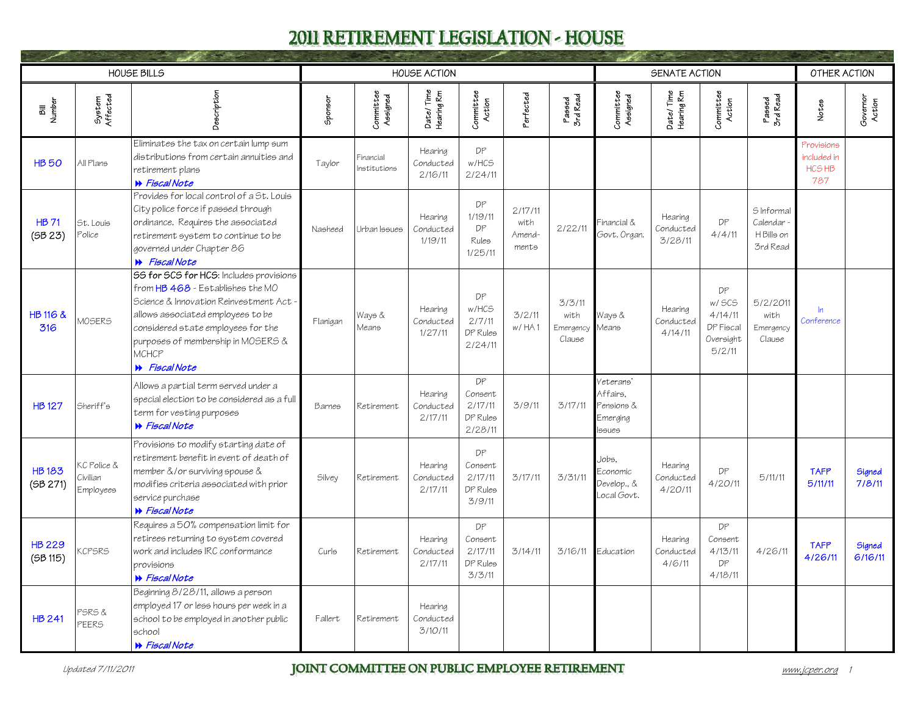<span id="page-4-0"></span>

|                          |                                      | <b>HOUSE BILLS</b>                                                                                                                                                                                                                                                       |          |                           | <b>HOUSE ACTION</b>              |                                                 |                                    |                                             |                                                                 | SENATE ACTION                   |                                                             |                                                    | OTHER ACTION                               |                    |
|--------------------------|--------------------------------------|--------------------------------------------------------------------------------------------------------------------------------------------------------------------------------------------------------------------------------------------------------------------------|----------|---------------------------|----------------------------------|-------------------------------------------------|------------------------------------|---------------------------------------------|-----------------------------------------------------------------|---------------------------------|-------------------------------------------------------------|----------------------------------------------------|--------------------------------------------|--------------------|
| Bill<br>Number           | System<br>Affected                   | Description                                                                                                                                                                                                                                                              | Sponsor  | Committee<br>Assigned     | Date/Time<br>Hearing Rm          | Committee<br>Action                             | <sup>2</sup> erfected              | Passed<br>3rd Read                          | Committee<br>Assigned                                           | Date/Time<br>Hearing Rm         | Committee<br>Action                                         | Passed<br>3rd Read                                 | Notes                                      | Governor<br>Action |
| <b>HB50</b>              | All Plans                            | Eliminates the tax on certain lump sum<br>distributions from certain annuities and<br>retirement plans<br>N Fiscal Note                                                                                                                                                  | Taylor   | Financial<br>Institutions | Hearing<br>Conducted<br>2/16/11  | DP<br>w/HCS<br>2/24/11                          |                                    |                                             |                                                                 |                                 |                                                             |                                                    | Provisions<br>included in<br>HCS HB<br>787 |                    |
| <b>HB 71</b><br>(5B 23)  | St. Louis<br>Police                  | Provides for local control of a St. Louis<br>City police force if passed through<br>ordinance. Requires the associated<br>retirement system to continue to be<br>governed under Chapter 86<br><b>W</b> Fiscal Note                                                       | Nasheed  | Urban Issues              | Hearing<br>Conducted<br>1/19/11  | DP<br>1/19/11<br>DP<br>Rules<br>1/25/11         | 2/17/11<br>with<br>Amend-<br>ments | 2/22/11                                     | Financial &<br>Govt. Organ.                                     | Hearing<br>Conducted<br>3/28/11 | DP<br>4/4/11                                                | S Informal<br>Calendar -<br>H Bills on<br>3rd Read |                                            |                    |
| HB 116 &<br>316          | <b>MOSERS</b>                        | 55 for SCS for HCS: Includes provisions<br>from HB 468 - Establishes the MO<br>Science & Innovation Reinvestment Act -<br>allows associated employees to be<br>considered state employees for the<br>purposes of membership in MOSERS &<br>MCHCP<br><b>▶</b> Fiscal Note | Flanigan | Ways &<br>Means           | Hearing<br>Conducted<br>1/27/11  | DP<br>w/HCS<br>2/7/11<br>DP Rules<br>2/24/11    | 3/2/11<br>w/HA1                    | 3/3/11<br>with<br>Emergency Means<br>Clause | Ways &                                                          | Hearing<br>Conducted<br>4/14/11 | DP<br>w/ SCS<br>4/14/11<br>DP Fiscal<br>Oversight<br>5/2/11 | 5/2/2011<br>with<br>Emergency<br>Clause            | $\ln$<br>Conference                        |                    |
| <b>HB127</b>             | Sheriff's                            | Allows a partial term served under a<br>special election to be considered as a full<br>term for vesting purposes<br>N Fiscal Note                                                                                                                                        | Barnes   | Retirement                | Hearing<br>Conducted<br>2/17/11  | DP<br>Consent<br>2/17/11<br>DP Rules<br>2/28/11 | 3/9/11                             | 3/17/11                                     | veterans'<br>Affairs.<br>Pensions &<br>Emerging<br><b>ssues</b> |                                 |                                                             |                                                    |                                            |                    |
| <b>HB183</b><br>(5B 271) | KC Police &<br>Civilian<br>Employees | Provisions to modify starting date of<br>retirement benefit in event of death of<br>member &/or surviving spouse &<br>modifies criteria associated with prior<br>service purchase<br>▶ Fiscal Note                                                                       | Silvey   | Retirement                | Hearing<br>Conducted<br>2.117/11 | DP<br>Consent<br>2/17/11<br>DP Rules<br>3/9/11  | 3/17/11                            | 3/31/11                                     | Jobs.<br>Economic<br>Develop., &<br>Local Govt.                 | Hearina<br>Conducted<br>4/20/11 | DP<br>4/20/11                                               | 5/11/11                                            | <b>TAFP</b><br>5/11/11                     | Signed<br>7/8/11   |
| <b>HB 229</b><br>(5B115) | <b>KCPSRS</b>                        | Requires a 50% compensation limit for<br>retirees returning to system covered<br>work and includes IRC conformance<br>provisions<br><b>W</b> Fiscal Note                                                                                                                 | Curls    | Retirement                | Hearing<br>Conducted<br>2/17/11  | DP<br>Consent<br>2/17/11<br>DP Rules<br>3/3/11  | 3/14/11                            | 3/16/11                                     | Education                                                       | Hearina<br>Conducted<br>4/6/11  | DP<br>Consent<br>4/13/11<br>DP<br>4/18/11                   | 4/26/11                                            | <b>TAFP</b><br>4/26/11                     | Signed<br>6/16/11  |
| <b>HB 241</b>            | PSRS &<br>PEERS                      | Beginning 8/28/11, allows a person<br>employed 17 or less hours per week in a<br>school to be employed in another public<br>school<br><b>W</b> Fiscal Note                                                                                                               | Fallert  | Retirement                | Hearing<br>Conducted<br>3/10/11  |                                                 |                                    |                                             |                                                                 |                                 |                                                             |                                                    |                                            |                    |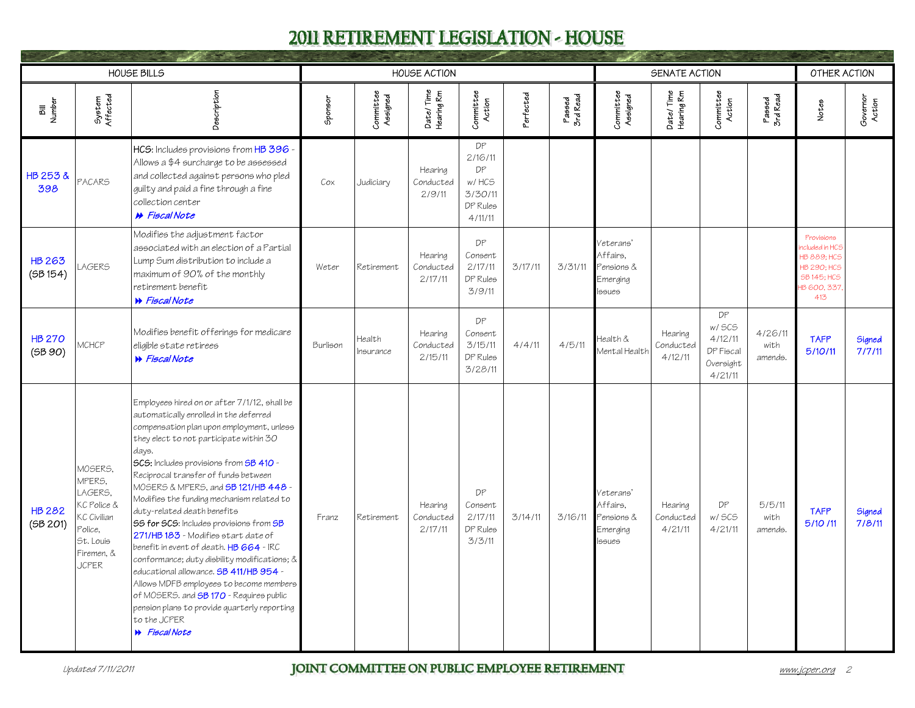<span id="page-5-0"></span>

|                           |                                                                                                                  | <b>HOUSE BILLS</b>                                                                                                                                                                                                                                                                                                                                                                                                                                                                                                                                                                                                                                                                                                                                                                                                            |          |                       | <b>HOUSE ACTION</b>             |                                                                |                       |                    |                                                           | SENATE ACTION                   |                                                              |                            | OTHER ACTION                                                                                                         |                    |
|---------------------------|------------------------------------------------------------------------------------------------------------------|-------------------------------------------------------------------------------------------------------------------------------------------------------------------------------------------------------------------------------------------------------------------------------------------------------------------------------------------------------------------------------------------------------------------------------------------------------------------------------------------------------------------------------------------------------------------------------------------------------------------------------------------------------------------------------------------------------------------------------------------------------------------------------------------------------------------------------|----------|-----------------------|---------------------------------|----------------------------------------------------------------|-----------------------|--------------------|-----------------------------------------------------------|---------------------------------|--------------------------------------------------------------|----------------------------|----------------------------------------------------------------------------------------------------------------------|--------------------|
| Bill<br>Number            | System<br>Affected                                                                                               | Description                                                                                                                                                                                                                                                                                                                                                                                                                                                                                                                                                                                                                                                                                                                                                                                                                   | Sponsor  | Committee<br>Assigned | Date/Time<br>Hearing Rm         | Committee<br>Action                                            | <sup>2</sup> erfected | Passed<br>3rd Read | Committee<br>Assigned                                     | Date/Time<br>Hearing Rm         | Committee<br>Action                                          | Passed<br>3rd Read         | Notes                                                                                                                | Governor<br>Action |
| HB 253 &<br>398           | PACARS                                                                                                           | HCS: Includes provisions from HB 396 -<br>Allows a \$4 surcharge to be assessed<br>and collected against persons who pled<br>guilty and paid a fine through a fine<br>collection center<br><b>»</b> Fiscal Note                                                                                                                                                                                                                                                                                                                                                                                                                                                                                                                                                                                                               | Cox      | Judiciary             | Hearing<br>Conducted<br>2/9/11  | DP<br>2/16/11<br>DP<br>w/HCS<br>3/30/11<br>DP Rules<br>4/11/11 |                       |                    |                                                           |                                 |                                                              |                            |                                                                                                                      |                    |
| <b>HB 263</b><br>(5B154)  | <b>LAGERS</b>                                                                                                    | Modifies the adjustment factor<br>associated with an election of a Partial<br>Lump Sum distribution to include a<br>maximum of 90% of the monthly<br>retirement benefit<br><b>B</b> Fiscal Note                                                                                                                                                                                                                                                                                                                                                                                                                                                                                                                                                                                                                               | Weter    | Retirement            | Hearing<br>Conducted<br>2/17/11 | DP<br>Consent<br>2/17/11<br>DP Rules<br>3/9/11                 | 3/17/11               | 3/31/11            | Veterans'<br>Affairs,<br>Pensions &<br>Emerging<br>lssues |                                 |                                                              |                            | Provisions<br>ncluded in HCS<br><b>HB 889: HCS</b><br><b>HB 290: HCS</b><br><b>SB 145; HCS</b><br>HB 600, 337<br>413 |                    |
| <b>HB 270</b><br>(5B 90)  | MCHCP                                                                                                            | Modifies benefit offerings for medicare<br>eligible state retirees<br><b>W</b> Fiscal Note                                                                                                                                                                                                                                                                                                                                                                                                                                                                                                                                                                                                                                                                                                                                    | Burlison | Health<br>Insurance   | Hearing<br>Conducted<br>2/15/11 | DP<br>Consent<br>3/15/11<br>DP Rules<br>3/28/11                | 4/4/11                | 4/5/11             | Health &<br>Mental Health                                 | Hearing<br>Conducted<br>4/12/11 | DP<br>w/ SCS<br>4/12/11<br>DP Fiscal<br>Oversight<br>4/21/11 | 4/26/11<br>with<br>amends. | <b>TAFP</b><br>5/10/11                                                                                               | Signed<br>7/7/11   |
| <b>HB 282</b><br>(5B 201) | MOSERS,<br>MPERS,<br>LAGERS.<br>KC Police &<br>KC Civilian<br>Police,<br>St. Louis<br>Firemen, &<br><b>JCPER</b> | Employees hired on or after 7/1/12, shall be<br>automatically enrolled in the deferred<br>compensation plan upon employment, unless<br>they elect to not participate within 30<br>days.<br>SCS: Includes provisions from SB 410 -<br>Reciprocal transfer of funds between<br>MOSERS & MPERS, and <b>SB 121/HB 448</b> -<br>Modifies the funding mechanism related to<br>duty-related death benefits<br><b>SS for SCS:</b> Includes provisions from SB<br>271/HB 183 - Modifies start date of<br>benefit in event of death. HB 664 - IRC<br>conformance; duty disbility modifications; &<br>educational allowance. <b>SB 411/HB 954</b> -<br>Allows MDFB employees to become members<br>of MOSERS. and <b>SB 170</b> - Requires public<br>pension plans to provide quarterly reporting<br>to the JCPER<br><b>W</b> Fiscal Note | Franz    | Retirement            | Hearing<br>Conducted<br>2/17/11 | DP<br>Consent<br>2/17/11<br>DP Rules<br>3/3/11                 | 3/14/11               | 3/16/11            | Veterans'<br>Affairs.<br>Pensions &<br>Emerging<br>lssues | Hearing<br>Conducted<br>4/21/11 | DP<br>w/ SCS<br>4/21/11                                      | 5/5/11<br>with<br>amends.  | <b>TAFP</b><br>5/10/11                                                                                               | Signed<br>7/8/11   |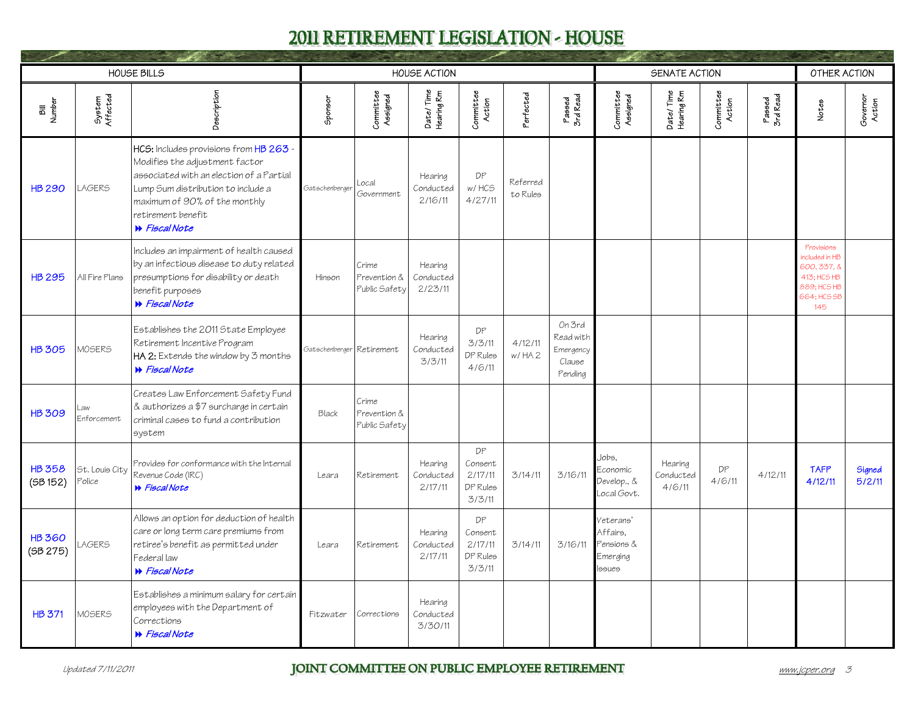<span id="page-6-0"></span>

|                           |                          | <b>HOUSE BILLS</b>                                                                                                                                                                                                                        |                           |                                        | <b>HOUSE ACTION</b>             |                                                |                       |                                                       |                                                           | SENATE ACTION                  |                     |                    | OTHER ACTION                                                                                  |                    |
|---------------------------|--------------------------|-------------------------------------------------------------------------------------------------------------------------------------------------------------------------------------------------------------------------------------------|---------------------------|----------------------------------------|---------------------------------|------------------------------------------------|-----------------------|-------------------------------------------------------|-----------------------------------------------------------|--------------------------------|---------------------|--------------------|-----------------------------------------------------------------------------------------------|--------------------|
| Bill<br>Number            | System<br>Affected       | Description                                                                                                                                                                                                                               | Sponsor                   | Committee<br>Assigned                  | Date/Time<br>Hearing Rm         | Committee<br>Action                            | <sup>2</sup> erfected | Passed<br>3rd Read                                    | Committee<br>Assigned                                     | Date/Time<br>Hearing Rm        | Committee<br>Action | Passed<br>3rd Read | Notes                                                                                         | Governor<br>Action |
| <b>HB 290</b>             | <b>LAGERS</b>            | HCS: Includes provisions from HB 263 -<br>Modifies the adjustment factor<br>associated with an election of a Partial<br>Lump Sum distribution to include a<br>maximum of 90% of the monthly<br>retirement benefit<br><b>B</b> Fiscal Note | Gatschenberger            | Local<br>Government                    | Hearina<br>Conducted<br>2/16/11 | DP<br>w/HCS<br>4/27/11                         | Referred<br>to Rules  |                                                       |                                                           |                                |                     |                    |                                                                                               |                    |
| <b>HB 295</b>             | All Fire Plans           | Includes an impairment of health caused<br>by an infectious disease to duty related<br>presumptions for disability or death<br>benefit purposes<br>N Fiscal Note                                                                          | Hinson                    | Crime<br>Prevention &<br>Public Safety | Hearing<br>Conducted<br>2/23/11 |                                                |                       |                                                       |                                                           |                                |                     |                    | Provisions<br>included in HB<br>600.337.&<br>413: HCS HB<br>889; HCS HB<br>664; HCS SB<br>145 |                    |
| <b>HB 305</b>             | MOSERS                   | Establishes the 2011 State Employee<br>Retirement Incentive Program<br>HA 2: Extends the window by 3 months<br><b>W</b> Fiscal Note                                                                                                       | Gatschenberger Retirement |                                        | Hearing<br>Conducted<br>3/3/11  | DP<br>3/3/11<br>DP Rules<br>4/6/11             | 4/12/11<br>W/HA2      | On 3rd<br>Read with<br>Emergency<br>Clause<br>Pending |                                                           |                                |                     |                    |                                                                                               |                    |
| <b>HB 309</b>             | Law<br>Enforcement       | Creates Law Enforcement Safety Fund<br>& authorizes a \$7 surcharge in certain<br>criminal cases to fund a contribution<br>system                                                                                                         | Black                     | Crime<br>Prevention &<br>Public Safety |                                 |                                                |                       |                                                       |                                                           |                                |                     |                    |                                                                                               |                    |
| <b>HB 358</b><br>(5B152)  | St. Louis City<br>Police | Provides for conformance with the Internal<br>Revenue Code (IRC)<br><b>W</b> Fiscal Note                                                                                                                                                  | Leara                     | Retirement                             | Hearing<br>Conducted<br>2/17/11 | DP<br>Consent<br>2/17/11<br>DP Rules<br>3/3/11 | 3/14/11               | 3/16/11                                               | Jobs.<br>Economic<br>Develop., &<br>Local Govt.           | Hearina<br>Conducted<br>4/6/11 | DP<br>4/6/11        | 4/12/11            | <b>TAFP</b><br>4/12/11                                                                        | Signed<br>5/2/11   |
| <b>HB 360</b><br>(5B 275) | <b>LAGERS</b>            | Allows an option for deduction of health<br>care or long term care premiums from<br>retiree's benefit as permitted under<br>Federal law<br>N Fiscal Note                                                                                  | Leara                     | Retirement                             | Hearing<br>Conducted<br>2/17/11 | DP<br>Consent<br>2/17/11<br>DP Rules<br>3/3/11 | 3/14/11               | 3/16/11                                               | Veterans'<br>Affairs.<br>Pensions &<br>Emerging<br>lssues |                                |                     |                    |                                                                                               |                    |
| <b>HB 371</b>             | MOSERS                   | Establishes a minimum salary for certain<br>employees with the Department of<br>Corrections<br><b>W</b> Fiscal Note                                                                                                                       | Fitzwater                 | Corrections                            | Hearing<br>Conducted<br>3/30/11 |                                                |                       |                                                       |                                                           |                                |                     |                    |                                                                                               |                    |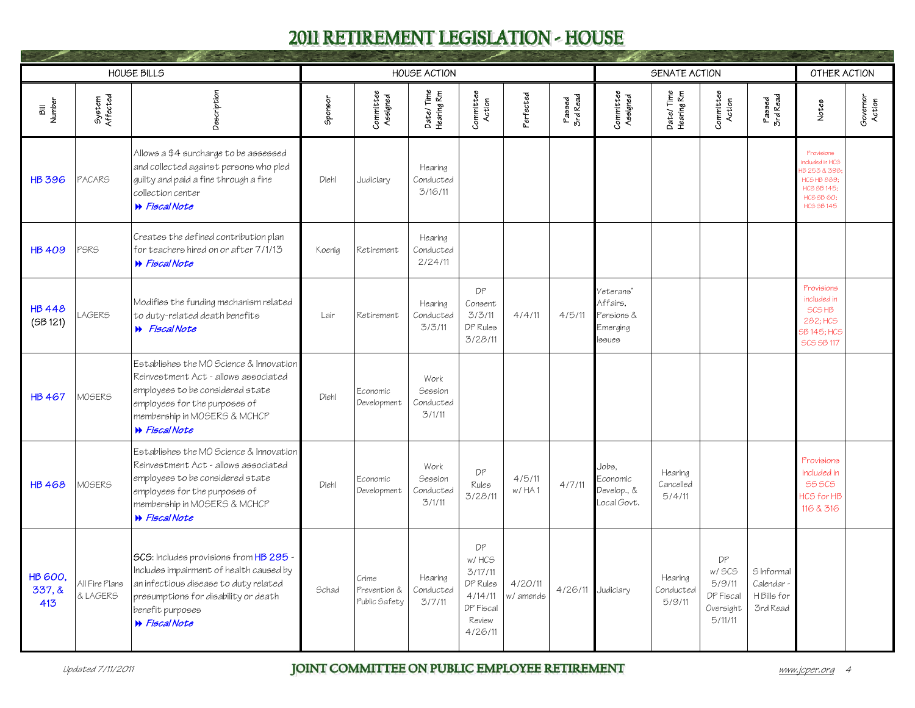<span id="page-7-0"></span>

|                                |                            | <b>HOUSE BILLS</b>                                                                                                                                                                                             |         |                                        | <b>HOUSE ACTION</b>                    |                                                                                 |                        |                    |                                                           | SENATE ACTION                  |                                                             |                                                   | OTHER ACTION                                                                                                         |                    |
|--------------------------------|----------------------------|----------------------------------------------------------------------------------------------------------------------------------------------------------------------------------------------------------------|---------|----------------------------------------|----------------------------------------|---------------------------------------------------------------------------------|------------------------|--------------------|-----------------------------------------------------------|--------------------------------|-------------------------------------------------------------|---------------------------------------------------|----------------------------------------------------------------------------------------------------------------------|--------------------|
| Bill<br>Number                 | System<br>Affected         | Description                                                                                                                                                                                                    | Sponsor | Committee<br>Assigned                  | Date/Time<br>Hearing Rm                | Committee<br>Action                                                             | Perfected              | Passed<br>3rd Read | Committee<br>Assigned                                     | Date/Time<br>Hearing Rm        | Committee<br>Action                                         | Passed<br>3rd Read                                | Notes                                                                                                                | Governor<br>Action |
| <b>HB 396</b>                  | <b>PACARS</b>              | Allows a \$4 surcharge to be assessed<br>and collected against persons who pled<br>guilty and paid a fine through a fine<br>collection center<br><b>W</b> Fiscal Note                                          | Diehl   | Judiciary                              | Hearing<br>Conducted<br>3/16/11        |                                                                                 |                        |                    |                                                           |                                |                                                             |                                                   | Provisions<br>ncluded in HCS<br>1B 253 & 398<br><b>HCS HB 889:</b><br>HCS 5B 145;<br>HCS SB 60;<br><b>HCS SB 145</b> |                    |
| <b>HB 409</b>                  | PSRS                       | Creates the defined contribution plan<br>for teachers hired on or after 7/1/13<br><b>W</b> Fiscal Note                                                                                                         | Koenia  | Retirement                             | Hearing<br>Conducted<br>2/24/11        |                                                                                 |                        |                    |                                                           |                                |                                                             |                                                   |                                                                                                                      |                    |
| <b>HB448</b><br>(5B121)        | <b>AGERS</b>               | Modifies the funding mechanism related<br>to duty-related death benefits<br><b>W</b> Fiscal Note                                                                                                               | Lair    | Retirement                             | Hearing<br>Conducted<br>3/3/11         | DP<br>Consent<br>3/3/11<br>DP Rules<br>3/28/11                                  | 4/4/11                 | 4/5/11             | Veterans'<br>Affairs,<br>Pensions &<br>Emerging<br>lssues |                                |                                                             |                                                   | Provisions<br>included in<br>SCS HB<br>282; HCS<br>5B 145; HCS<br><b>SCS SB 117</b>                                  |                    |
| <b>HB 467</b>                  | <b>MOSERS</b>              | Establishes the MO Science & Innovation<br>Reinvestment Act - allows associated<br>employees to be considered state<br>employees for the purposes of<br>membership in MOSERS & MCHCP<br><b>▶</b> Fiscal Note   | Diehl   | Economic<br>Development                | Work<br>Session<br>Conducted<br>3/1/11 |                                                                                 |                        |                    |                                                           |                                |                                                             |                                                   |                                                                                                                      |                    |
| <b>HB468</b>                   | <b>MOSERS</b>              | Establishes the MO Science & Innovation<br>Reinvestment Act - allows associated<br>employees to be considered state<br>employees for the purposes of<br>membership in MOSERS & MCHCP<br><b>W</b> Fiscal Note   | Diehl   | Economic<br>Development                | Work<br>Session<br>Conducted<br>3/1/11 | DP<br>Rules<br>3/28/11                                                          | 4/5/11<br>$w$ / $HA$ 1 | 4/7/11             | Jobs.<br>Economic<br>Develop., &<br>Local Govt.           | Hearing<br>Cancelled<br>5/4/11 |                                                             |                                                   | Provisions<br>included in<br><b>555CS</b><br>HCS for HB<br>116 & 316                                                 |                    |
| <b>HB 600,</b><br>337,8<br>413 | All Fire Plans<br>& LAGERS | SCS: Includes provisions from HB 295 -<br>Includes impairment of health caused by<br>an infectious disease to duty related<br>presumptions for disability or death<br>benefit purposes<br><b>W</b> Fiscal Note | Schad   | Crime<br>Prevention &<br>Public Safety | Hearing<br>Conducted<br>3/7/11         | DP<br>w/HCS<br>3/17/11<br>DP Rules<br>4/14/11<br>DP Fiscal<br>Review<br>4/26/11 | 4/20/11<br>w/amends    | 4/26/11            | Judiciary                                                 | Hearing<br>Conducted<br>5/9/11 | DP<br>w/ SCS<br>5/9/11<br>DP Fiscal<br>Oversight<br>5/11/11 | S Informal<br>Calendar<br>H Bills for<br>3rd Read |                                                                                                                      |                    |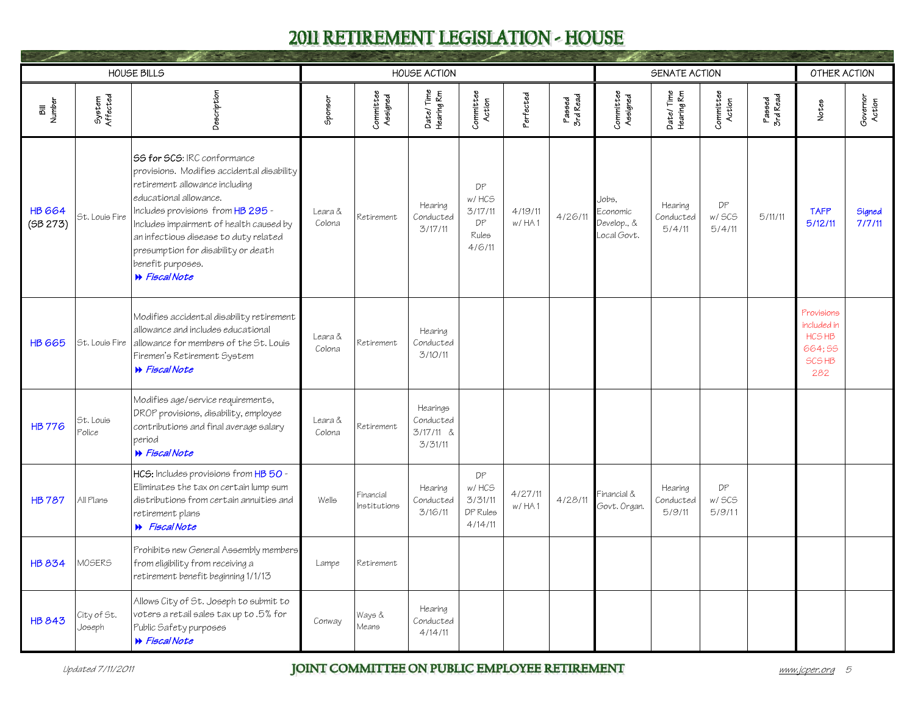<span id="page-8-0"></span>

|                           |                       | <b>HOUSE BILLS</b>                                                                                                                                                                                                                                                                                                                                 |                   |                           | <b>HOUSE ACTION</b>                           |                                                 |                         |                    |                                                 | SENATE ACTION                  |                        |                    | OTHER ACTION                                                              |                    |
|---------------------------|-----------------------|----------------------------------------------------------------------------------------------------------------------------------------------------------------------------------------------------------------------------------------------------------------------------------------------------------------------------------------------------|-------------------|---------------------------|-----------------------------------------------|-------------------------------------------------|-------------------------|--------------------|-------------------------------------------------|--------------------------------|------------------------|--------------------|---------------------------------------------------------------------------|--------------------|
| Bill<br>Number            | System<br>Affected    | Description                                                                                                                                                                                                                                                                                                                                        | Sponsor           | Committee<br>Assigned     | Date/Time<br>Hearing Rm                       | Committee<br>Action                             | <sup>2</sup> erfected   | Passed<br>3rd Read | Committee<br>Assigned                           | Date/Time<br>Hearing Rm        | Committee<br>Action    | Passed<br>3rd Read | Notes                                                                     | Governor<br>Action |
| <b>HB 664</b><br>(5B 273) | St. Louis Fire        | 55 for 5CS: IRC conformance<br>provisions. Modifies accidental disability<br>retirement allowance including<br>educational allowance.<br>Includes provisions from HB 295 -<br>Includes impairment of health caused by<br>an infectious disease to duty related<br>presumption for disability or death<br>benefit purposes.<br><b>B</b> Fiscal Note | Leara &<br>Colona | Retirement                | Hearing<br>Conducted<br>3/17/11               | DP<br>w/HCS<br>3/17/11<br>DP<br>Rules<br>4/6/11 | 4/19/11<br>$w$ / $HA$ 1 | 4/26/11            | Jobs.<br>Economic<br>Develop., &<br>Local Govt. | Hearing<br>Conducted<br>5/4/11 | DP<br>w/ SCS<br>5/4/11 | 5/11/11            | <b>TAFP</b><br>5/12/11                                                    | Signed<br>7/7/11   |
| <b>HB 665</b>             | St. Louis Fire        | Modifies accidental disability retirement<br>allowance and includes educational<br>allowance for members of the St. Louis<br>Firemen's Retirement System<br><b>W</b> Fiscal Note                                                                                                                                                                   | Leara &<br>Colona | Retirement                | Hearing<br>Conducted<br>3/10/11               |                                                 |                         |                    |                                                 |                                |                        |                    | Provisions<br>included in<br>HCS HB<br>664;55<br>SCS <sub>HB</sub><br>282 |                    |
| <b>HB 776</b>             | St. Louis<br>Police   | Modifies age/service requirements,<br>DROP provisions, disability, employee<br>contributions and final average salary<br>period<br><b>W</b> Fiscal Note                                                                                                                                                                                            | Leara &<br>Colona | Retirement                | Hearings<br>Conducted<br>3/17/11 &<br>3/31/11 |                                                 |                         |                    |                                                 |                                |                        |                    |                                                                           |                    |
| <b>HB787</b>              | All Plans             | HCS: Includes provisions from HB 50 -<br>Eliminates the tax on certain lump sum<br>distributions from certain annuities and<br>retirement plans<br><b>W</b> Fiscal Note                                                                                                                                                                            | Wells             | Financial<br>Institutions | Hearing<br>Conducted<br>3/16/11               | DP<br>w/HCS<br>3/31/11<br>DP Rules<br>4/14/11   | 4/27/11<br>w/HA1        | 4/28/11            | Financial &<br>Govt. Organ.                     | Hearing<br>Conducted<br>5/9/11 | DP<br>w/ SCS<br>5/9/11 |                    |                                                                           |                    |
| <b>HB 834</b>             | MOSERS                | Prohibits new General Assembly members<br>from eligibility from receiving a<br>retirement benefit beginning 1/1/13                                                                                                                                                                                                                                 | Lampe             | Retirement                |                                               |                                                 |                         |                    |                                                 |                                |                        |                    |                                                                           |                    |
| <b>HB 843</b>             | City of St.<br>Joseph | Allows City of St. Joseph to submit to<br>voters a retail sales tax up to .5% for<br>Public Safety purposes<br><b>W</b> Fiscal Note                                                                                                                                                                                                                | Conway            | Ways &<br>Means           | Hearing<br>Conducted<br>4/14/11               |                                                 |                         |                    |                                                 |                                |                        |                    |                                                                           |                    |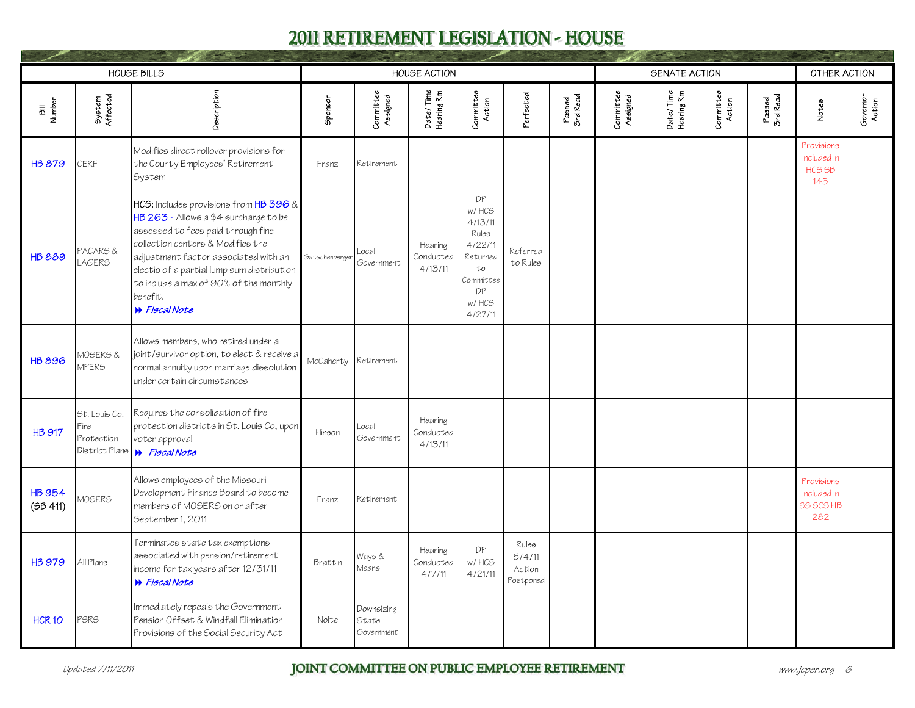<span id="page-9-0"></span>

|                           |                                                       | <b>HOUSE BILLS</b>                                                                                                                                                                                                                                                                                                      |                |                                   | <b>HOUSE ACTION</b>             |                                                                                                     |                                        |                    |                       | SENATE ACTION           |                     |                    | OTHER ACTION                                          |                    |
|---------------------------|-------------------------------------------------------|-------------------------------------------------------------------------------------------------------------------------------------------------------------------------------------------------------------------------------------------------------------------------------------------------------------------------|----------------|-----------------------------------|---------------------------------|-----------------------------------------------------------------------------------------------------|----------------------------------------|--------------------|-----------------------|-------------------------|---------------------|--------------------|-------------------------------------------------------|--------------------|
| Bill<br>Number            | System<br>Affected                                    | Description                                                                                                                                                                                                                                                                                                             | Sponsor        | Committee<br>Assigned             | Date/Time<br>Hearing Rm         | Committee<br>Action                                                                                 | Perfected                              | Passed<br>3rd Read | Committee<br>Assigned | Date/Time<br>Hearing Rm | Committee<br>Action | Passed<br>3rd Read | Notes                                                 | Governor<br>Action |
| <b>HB 879</b>             | CERF                                                  | Modifies direct rollover provisions for<br>the County Employees' Retirement<br>System                                                                                                                                                                                                                                   | Franz          | Retirement                        |                                 |                                                                                                     |                                        |                    |                       |                         |                     |                    | Provisions<br>included in<br>HCS <sub>SB</sub><br>145 |                    |
| <b>HB 889</b>             | PACARS &<br><b>LAGERS</b>                             | HCS: Includes provisions from HB 396 &<br>HB 263 - Allows a \$4 surcharge to be<br>assessed to fees paid through fine<br>collection centers & Modifies the<br>adjustment factor associated with an<br>electio of a partial lump sum distribution<br>to include a max of 90% of the monthly<br>benefit.<br>N Fiscal Note | Gatschenberger | Local<br>Government               | Hearing<br>Conducted<br>4/13/11 | DP<br>w/HCS<br>4/13/11<br>Rules<br>4/22/11<br>Returned<br>to<br>Committee<br>DP<br>w/HCS<br>4/27/11 | Referred<br>to Rules                   |                    |                       |                         |                     |                    |                                                       |                    |
| <b>HB 896</b>             | MOSERS &<br><b>MPERS</b>                              | Allows members, who retired under a<br>joint/survivor option, to elect & receive a<br>normal annuity upon marriage dissolution<br>under certain circumstances                                                                                                                                                           | McCaherty      | Retirement                        |                                 |                                                                                                     |                                        |                    |                       |                         |                     |                    |                                                       |                    |
| <b>HB 917</b>             | St. Louis Co.<br>Fire<br>Protection<br>District Plans | Requires the consolidation of fire<br>protection districts in St. Louis Co, upon<br>voter approval<br><b>N</b> Fiscal Note                                                                                                                                                                                              | Hinson         | Local<br>Government               | Hearing<br>Conducted<br>4/13/11 |                                                                                                     |                                        |                    |                       |                         |                     |                    |                                                       |                    |
| <b>HB 954</b><br>(5B 411) | MOSERS                                                | Allows employees of the Missouri<br>Development Finance Board to become<br>members of MOSERS on or after<br>September 1, 2011                                                                                                                                                                                           | Franz          | Retirement                        |                                 |                                                                                                     |                                        |                    |                       |                         |                     |                    | Provisions<br>included in<br><b>55 5CS HB</b><br>282  |                    |
| <b>HB 979</b>             | All Plans                                             | Terminates state tax exemptions<br>associated with pension/retirement<br>income for tax years after 12/31/11<br><b>W</b> Fiscal Note                                                                                                                                                                                    | Brattin        | Ways &<br>Means                   | Hearing<br>Conducted<br>4/7/11  | DP<br>w/HCS<br>4/21/11                                                                              | Rules<br>5/4/11<br>Action<br>Postponed |                    |                       |                         |                     |                    |                                                       |                    |
| <b>HCR 10</b>             | PSRS                                                  | Immediately repeals the Government<br>Pension Offset & Windfall Elimination<br>Provisions of the Social Security Act                                                                                                                                                                                                    | Nolte          | Downsizing<br>State<br>Government |                                 |                                                                                                     |                                        |                    |                       |                         |                     |                    |                                                       |                    |